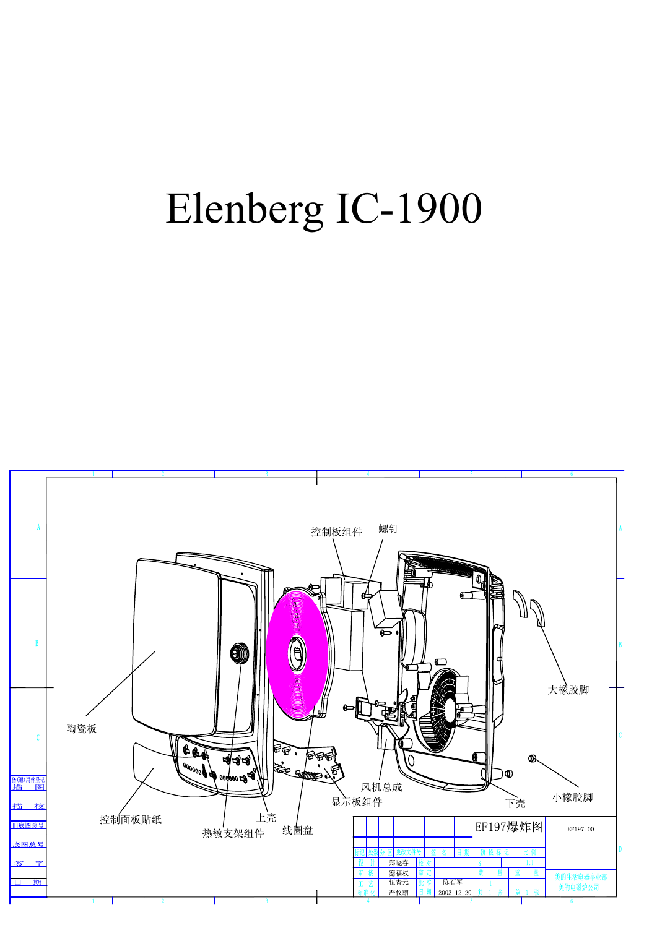## Elenberg IC-1900

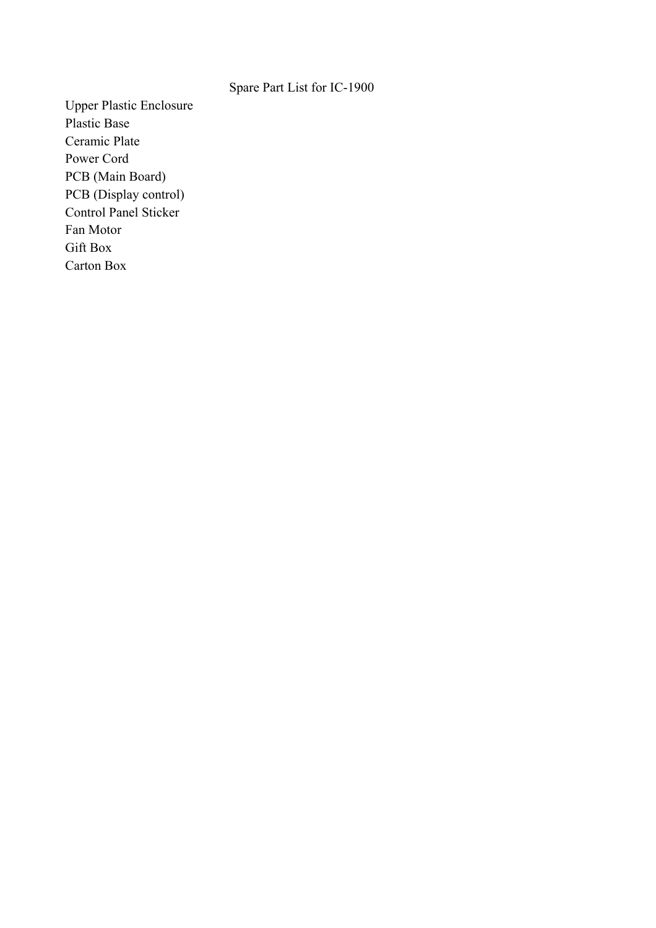## Spare Part List for IC-1900

Upper Plastic Enclosure Plastic Base Ceramic Plate Power Cord PCB (Main Board) PCB (Display control) Control Panel Sticker Fan Motor Gift Box Carton Box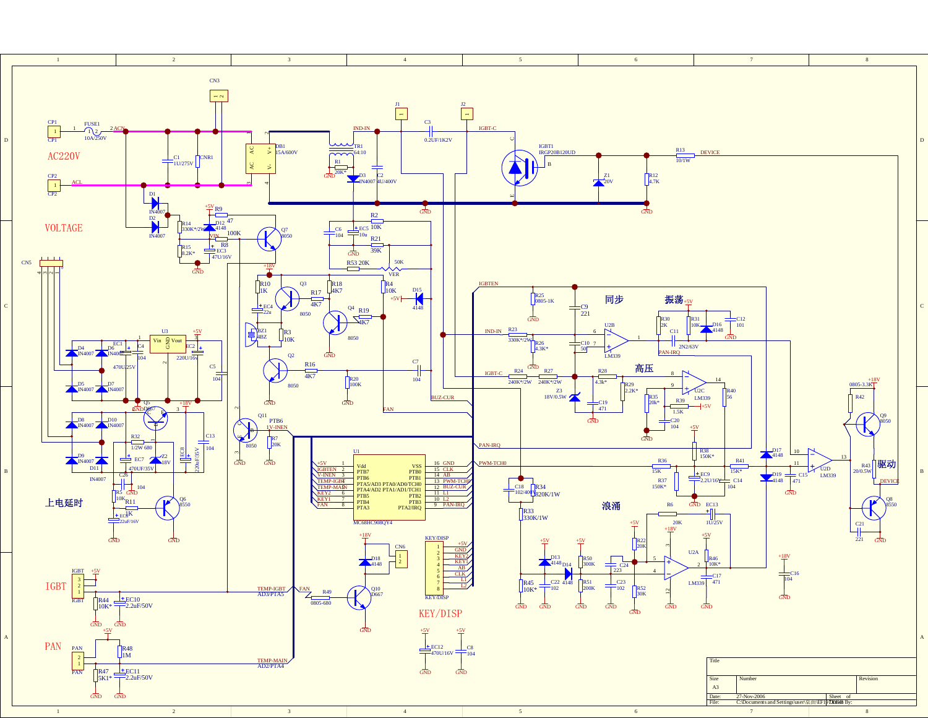